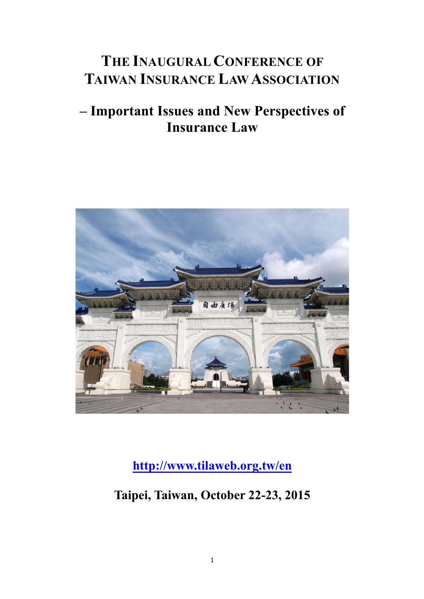# **THE INAUGURAL CONFERENCE OF TAIWAN INSURANCE LAW ASSOCIATION**

## **– Important Issues and New Perspectives of Insurance Law**



**http://www.tilaweb.org.tw/en**

### **Taipei, Taiwan, October 22-23, 2015**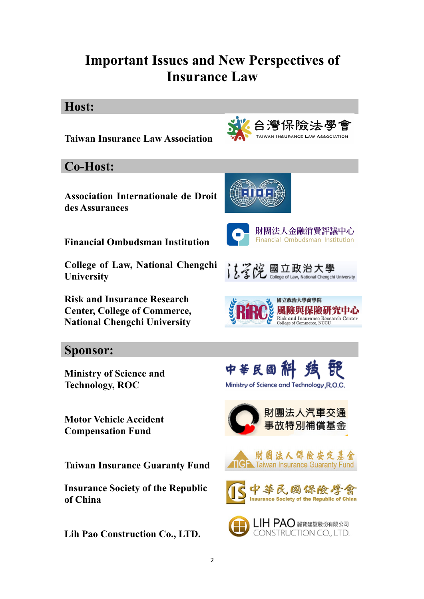## **Important Issues and New Perspectives of Insurance Law**

#### **Host:**



2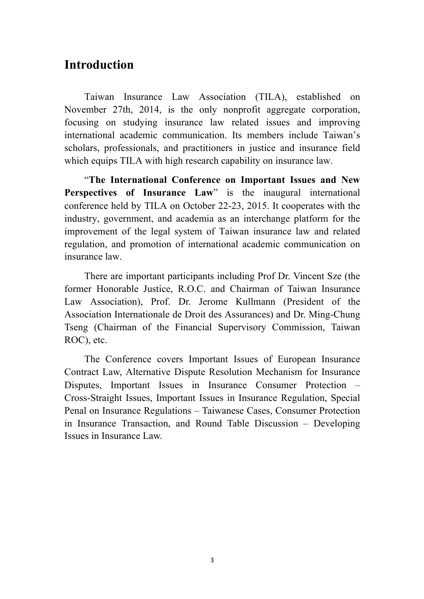#### **Introduction**

Taiwan Insurance Law Association (TILA), established on November 27th, 2014, is the only nonprofit aggregate corporation, focusing on studying insurance law related issues and improving international academic communication. Its members include Taiwan's scholars, professionals, and practitioners in justice and insurance field which equips TILA with high research capability on insurance law.

"**The International Conference on Important Issues and New Perspectives of Insurance Law**" is the inaugural international conference held by TILA on October 22-23, 2015. It cooperates with the industry, government, and academia as an interchange platform for the improvement of the legal system of Taiwan insurance law and related regulation, and promotion of international academic communication on insurance law.

There are important participants including Prof Dr. Vincent Sze (the former Honorable Justice, R.O.C. and Chairman of Taiwan Insurance Law Association), Prof. Dr. Jerome Kullmann (President of the Association Internationale de Droit des Assurances) and Dr. Ming-Chung Tseng (Chairman of the Financial Supervisory Commission, Taiwan ROC), etc.

The Conference covers Important Issues of European Insurance Contract Law, Alternative Dispute Resolution Mechanism for Insurance Disputes, Important Issues in Insurance Consumer Protection – Cross-Straight Issues, Important Issues in Insurance Regulation, Special Penal on Insurance Regulations – Taiwanese Cases, Consumer Protection in Insurance Transaction, and Round Table Discussion – Developing Issues in Insurance Law.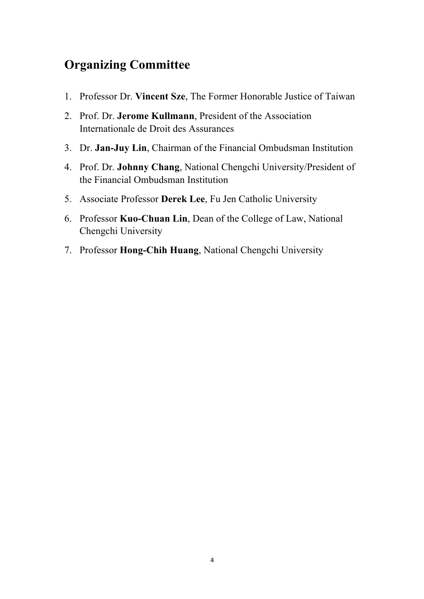### **Organizing Committee**

- 1. Professor Dr. **Vincent Sze**, The Former Honorable Justice of Taiwan
- 2. Prof. Dr. **Jerome Kullmann**, President of the Association Internationale de Droit des Assurances
- 3. Dr. **Jan-Juy Lin**, Chairman of the Financial Ombudsman Institution
- 4. Prof. Dr. **Johnny Chang**, National Chengchi University/President of the Financial Ombudsman Institution
- 5. Associate Professor **Derek Lee**, Fu Jen Catholic University
- 6. Professor **Kuo-Chuan Lin**, Dean of the College of Law, National Chengchi University
- 7. Professor **Hong-Chih Huang**, National Chengchi University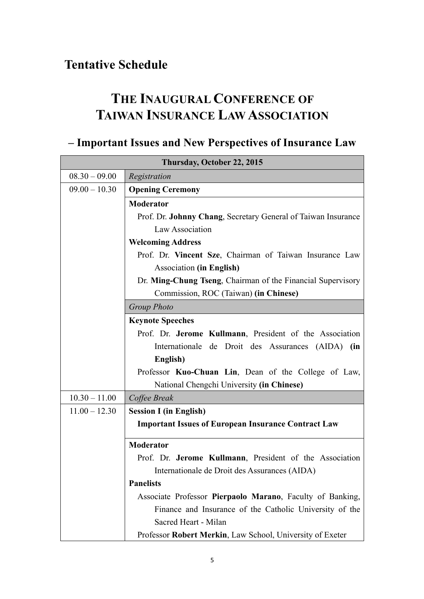### **Tentative Schedule**

## **THE INAUGURAL CONFERENCE OF TAIWAN INSURANCE LAW ASSOCIATION**

## **– Important Issues and New Perspectives of Insurance Law**

| Thursday, October 22, 2015 |                                                               |
|----------------------------|---------------------------------------------------------------|
| $08.30 - 09.00$            | Registration                                                  |
| $09.00 - 10.30$            | <b>Opening Ceremony</b>                                       |
|                            | <b>Moderator</b>                                              |
|                            | Prof. Dr. Johnny Chang, Secretary General of Taiwan Insurance |
|                            | Law Association                                               |
|                            | <b>Welcoming Address</b>                                      |
|                            | Prof. Dr. Vincent Sze, Chairman of Taiwan Insurance Law       |
|                            | <b>Association (in English)</b>                               |
|                            | Dr. Ming-Chung Tseng, Chairman of the Financial Supervisory   |
|                            | Commission, ROC (Taiwan) (in Chinese)                         |
|                            | <b>Group Photo</b>                                            |
|                            | <b>Keynote Speeches</b>                                       |
|                            | Prof. Dr. Jerome Kullmann, President of the Association       |
|                            | Internationale de Droit des Assurances (AIDA) (in             |
|                            | English)                                                      |
|                            | Professor Kuo-Chuan Lin, Dean of the College of Law,          |
|                            | National Chengchi University (in Chinese)                     |
| $10.30 - 11.00$            | Coffee Break                                                  |
| $11.00 - 12.30$            | <b>Session I (in English)</b>                                 |
|                            | <b>Important Issues of European Insurance Contract Law</b>    |
|                            | <b>Moderator</b>                                              |
|                            | Prof. Dr. Jerome Kullmann, President of the Association       |
|                            | Internationale de Droit des Assurances (AIDA)                 |
|                            | <b>Panelists</b>                                              |
|                            | Associate Professor Pierpaolo Marano, Faculty of Banking,     |
|                            | Finance and Insurance of the Catholic University of the       |
|                            | Sacred Heart - Milan                                          |
|                            | Professor Robert Merkin, Law School, University of Exeter     |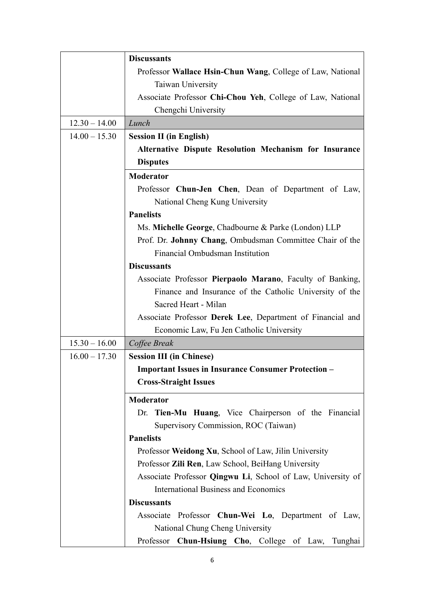|                 | <b>Discussants</b>                                          |
|-----------------|-------------------------------------------------------------|
|                 | Professor Wallace Hsin-Chun Wang, College of Law, National  |
|                 | Taiwan University                                           |
|                 | Associate Professor Chi-Chou Yeh, College of Law, National  |
|                 | Chengchi University                                         |
| $12.30 - 14.00$ | Lunch                                                       |
| $14.00 - 15.30$ | <b>Session II (in English)</b>                              |
|                 | Alternative Dispute Resolution Mechanism for Insurance      |
|                 | <b>Disputes</b>                                             |
|                 | <b>Moderator</b>                                            |
|                 | Professor Chun-Jen Chen, Dean of Department of Law,         |
|                 | National Cheng Kung University                              |
|                 | <b>Panelists</b>                                            |
|                 | Ms. Michelle George, Chadbourne & Parke (London) LLP        |
|                 | Prof. Dr. Johnny Chang, Ombudsman Committee Chair of the    |
|                 | Financial Ombudsman Institution                             |
|                 | <b>Discussants</b>                                          |
|                 | Associate Professor Pierpaolo Marano, Faculty of Banking,   |
|                 | Finance and Insurance of the Catholic University of the     |
|                 | Sacred Heart - Milan                                        |
|                 | Associate Professor Derek Lee, Department of Financial and  |
|                 | Economic Law, Fu Jen Catholic University                    |
| $15.30 - 16.00$ | Coffee Break                                                |
| $16.00 - 17.30$ | <b>Session III (in Chinese)</b>                             |
|                 | <b>Important Issues in Insurance Consumer Protection –</b>  |
|                 | <b>Cross-Straight Issues</b>                                |
|                 | <b>Moderator</b>                                            |
|                 | Dr. Tien-Mu Huang, Vice Chairperson of the Financial        |
|                 | Supervisory Commission, ROC (Taiwan)                        |
|                 | <b>Panelists</b>                                            |
|                 | Professor Weidong Xu, School of Law, Jilin University       |
|                 | Professor Zili Ren, Law School, BeiHang University          |
|                 | Associate Professor Qingwu Li, School of Law, University of |
|                 | <b>International Business and Economics</b>                 |
|                 | <b>Discussants</b>                                          |
|                 | Associate Professor Chun-Wei Lo, Department of Law,         |
|                 | National Chung Cheng University                             |
|                 | Professor Chun-Hsiung Cho, College of Law, Tunghai          |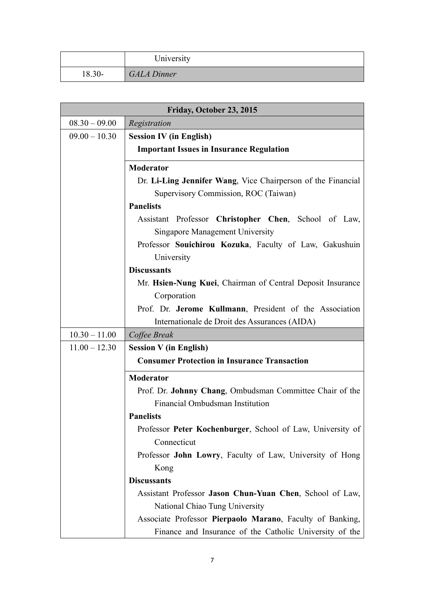|        | University         |
|--------|--------------------|
| 18.30- | <b>GALA Dinner</b> |

| Friday, October 23, 2015 |                                                              |  |
|--------------------------|--------------------------------------------------------------|--|
| $08.30 - 09.00$          | Registration                                                 |  |
| $09.00 - 10.30$          | <b>Session IV (in English)</b>                               |  |
|                          | <b>Important Issues in Insurance Regulation</b>              |  |
|                          | <b>Moderator</b>                                             |  |
|                          | Dr. Li-Ling Jennifer Wang, Vice Chairperson of the Financial |  |
|                          | Supervisory Commission, ROC (Taiwan)                         |  |
|                          | <b>Panelists</b>                                             |  |
|                          | Assistant Professor Christopher Chen, School of Law,         |  |
|                          | <b>Singapore Management University</b>                       |  |
|                          | Professor Souichirou Kozuka, Faculty of Law, Gakushuin       |  |
|                          | University                                                   |  |
|                          | <b>Discussants</b>                                           |  |
|                          | Mr. Hsien-Nung Kuei, Chairman of Central Deposit Insurance   |  |
|                          | Corporation                                                  |  |
|                          | Prof. Dr. Jerome Kullmann, President of the Association      |  |
|                          | Internationale de Droit des Assurances (AIDA)                |  |
| $10.30 - 11.00$          | Coffee Break                                                 |  |
| $11.00 - 12.30$          | <b>Session V</b> (in English)                                |  |
|                          | <b>Consumer Protection in Insurance Transaction</b>          |  |
|                          | <b>Moderator</b>                                             |  |
|                          | Prof. Dr. Johnny Chang, Ombudsman Committee Chair of the     |  |
|                          | Financial Ombudsman Institution                              |  |
|                          | <b>Panelists</b>                                             |  |
|                          | Professor Peter Kochenburger, School of Law, University of   |  |
|                          | Connecticut                                                  |  |
|                          | Professor John Lowry, Faculty of Law, University of Hong     |  |
|                          | Kong                                                         |  |
|                          | <b>Discussants</b>                                           |  |
|                          | Assistant Professor Jason Chun-Yuan Chen, School of Law,     |  |
|                          | National Chiao Tung University                               |  |
|                          | Associate Professor Pierpaolo Marano, Faculty of Banking,    |  |
|                          | Finance and Insurance of the Catholic University of the      |  |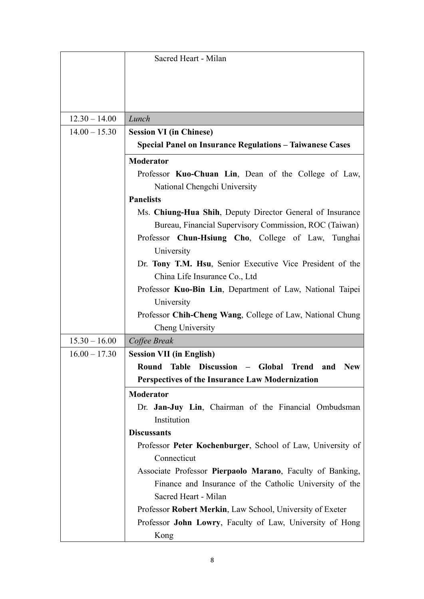|                 | Sacred Heart - Milan                                                 |
|-----------------|----------------------------------------------------------------------|
|                 |                                                                      |
|                 |                                                                      |
|                 |                                                                      |
|                 |                                                                      |
| $12.30 - 14.00$ | Lunch                                                                |
| $14.00 - 15.30$ | <b>Session VI (in Chinese)</b>                                       |
|                 | <b>Special Panel on Insurance Regulations - Taiwanese Cases</b>      |
|                 | <b>Moderator</b>                                                     |
|                 | Professor Kuo-Chuan Lin, Dean of the College of Law,                 |
|                 | National Chengchi University                                         |
|                 | <b>Panelists</b>                                                     |
|                 | Ms. Chiung-Hua Shih, Deputy Director General of Insurance            |
|                 | Bureau, Financial Supervisory Commission, ROC (Taiwan)               |
|                 | Professor Chun-Hsiung Cho, College of Law, Tunghai                   |
|                 | University                                                           |
|                 | Dr. Tony T.M. Hsu, Senior Executive Vice President of the            |
|                 | China Life Insurance Co., Ltd                                        |
|                 | Professor Kuo-Bin Lin, Department of Law, National Taipei            |
|                 | University                                                           |
|                 | Professor Chih-Cheng Wang, College of Law, National Chung            |
|                 | Cheng University                                                     |
| $15.30 - 16.00$ | Coffee Break                                                         |
| $16.00 - 17.30$ | <b>Session VII (in English)</b>                                      |
|                 | Round Table Discussion - Global<br><b>Trend</b><br><b>New</b><br>and |
|                 | <b>Perspectives of the Insurance Law Modernization</b>               |
|                 | <b>Moderator</b>                                                     |
|                 | Dr. Jan-Juy Lin, Chairman of the Financial Ombudsman                 |
|                 | Institution                                                          |
|                 | <b>Discussants</b>                                                   |
|                 | Professor Peter Kochenburger, School of Law, University of           |
|                 | Connecticut                                                          |
|                 | Associate Professor Pierpaolo Marano, Faculty of Banking,            |
|                 | Finance and Insurance of the Catholic University of the              |
|                 | Sacred Heart - Milan                                                 |
|                 | Professor Robert Merkin, Law School, University of Exeter            |
|                 | Professor John Lowry, Faculty of Law, University of Hong             |
|                 | Kong                                                                 |